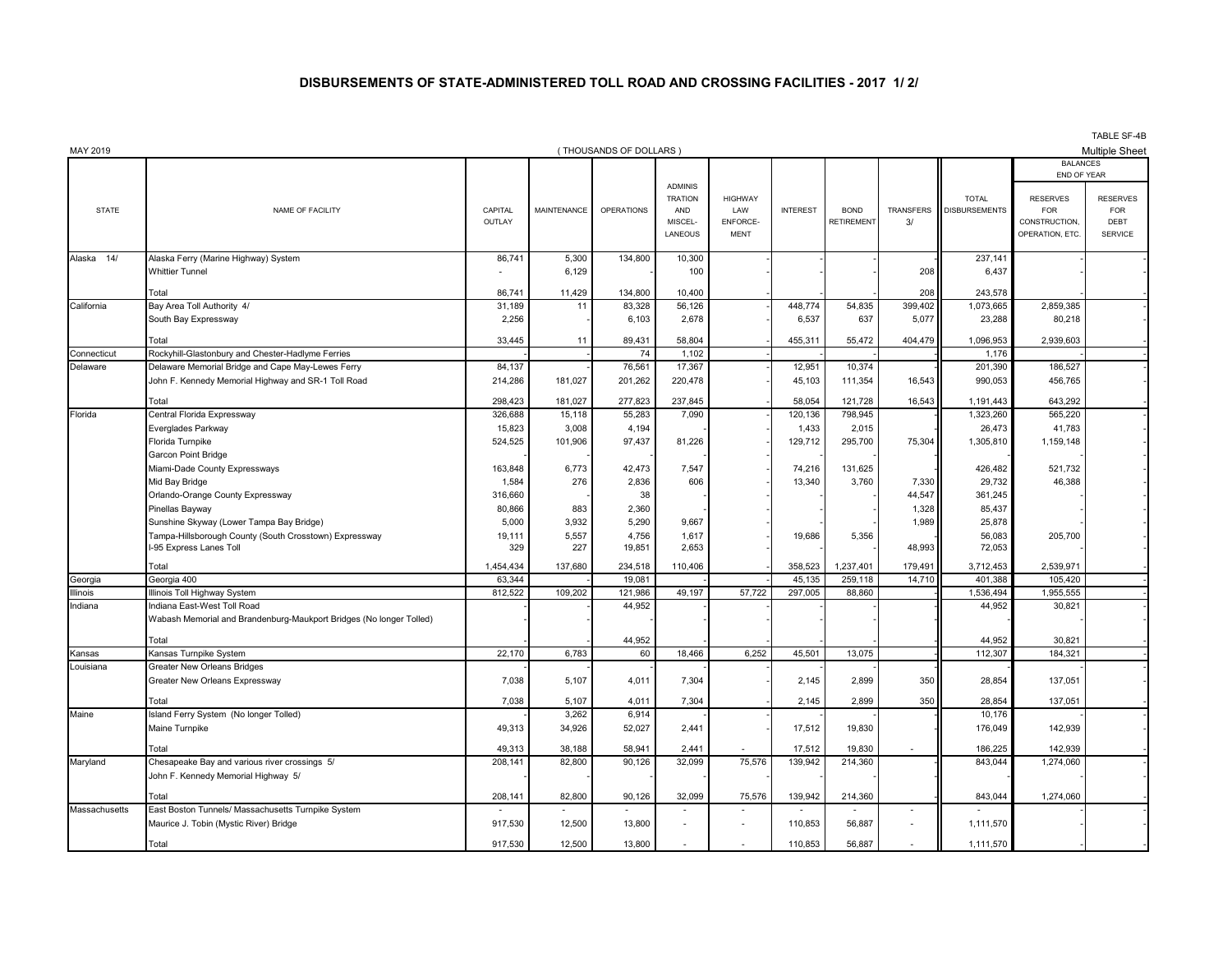## **DISBURSEMENTS OF STATE-ADMINISTERED TOLL ROAD AND CROSSING FACILITIES - 2017 1/ 2/**

| MAY 2019            |                                                                                   |                   |                    | (THOUSANDS OF DOLLARS) |                                                               |                                                  |                 |                           |                 |                                      |                                                                                  | TADLE OF-4D<br><b>Multiple Sheet</b>                    |
|---------------------|-----------------------------------------------------------------------------------|-------------------|--------------------|------------------------|---------------------------------------------------------------|--------------------------------------------------|-----------------|---------------------------|-----------------|--------------------------------------|----------------------------------------------------------------------------------|---------------------------------------------------------|
|                     |                                                                                   |                   |                    |                        |                                                               |                                                  |                 |                           |                 |                                      | <b>BALANCES</b>                                                                  |                                                         |
| <b>STATE</b>        | NAME OF FACILITY                                                                  | CAPITAL<br>OUTLAY | <b>MAINTENANCE</b> | <b>OPERATIONS</b>      | <b>ADMINIS</b><br><b>TRATION</b><br>AND<br>MISCEL-<br>LANEOUS | <b>HIGHWAY</b><br>LAW<br>ENFORCE-<br><b>MENT</b> | <b>INTEREST</b> | <b>BOND</b><br>RETIREMENT | TRANSFERS<br>3/ | <b>TOTAL</b><br><b>DISBURSEMENTS</b> | END OF YEAR<br><b>RESERVES</b><br><b>FOR</b><br>CONSTRUCTION,<br>OPERATION, ETC. | <b>RESERVES</b><br><b>FOR</b><br>DEBT<br><b>SERVICE</b> |
| 14/<br>Alaska       | Alaska Ferry (Marine Highway) System                                              | 86,741            | 5,300              | 134,800                | 10,300                                                        |                                                  |                 |                           |                 | 237,141                              |                                                                                  |                                                         |
|                     | <b>Whittier Tunnel</b>                                                            | ٠                 | 6,129              |                        | 100                                                           |                                                  |                 |                           | 208             | 6,437                                |                                                                                  |                                                         |
|                     | Total                                                                             | 86,741            | 11,429             | 134,800                | 10.400                                                        |                                                  |                 |                           | 208             | 243,578                              |                                                                                  |                                                         |
| California          | Bay Area Toll Authority 4/                                                        | 31,189            | 11                 | 83,328                 | 56,126                                                        |                                                  | 448,774         | 54,835                    | 399,402         | 1,073,665                            | 2,859,385                                                                        |                                                         |
|                     | South Bay Expressway                                                              | 2,256             |                    | 6,103                  | 2,678                                                         |                                                  | 6,537           | 637                       | 5,077           | 23,288                               | 80,218                                                                           |                                                         |
|                     |                                                                                   |                   |                    |                        |                                                               |                                                  |                 |                           |                 |                                      |                                                                                  |                                                         |
|                     | Total                                                                             | 33,445            | 11                 | 89,431                 | 58,804                                                        |                                                  | 455,311         | 55,472                    | 404,479         | 1,096,953                            | 2,939,603                                                                        |                                                         |
| Connecticut         | Rockyhill-Glastonbury and Chester-Hadlyme Ferries                                 |                   |                    | 74                     | 1,102                                                         |                                                  |                 |                           |                 | 1,176                                |                                                                                  |                                                         |
| Delaware            | Delaware Memorial Bridge and Cape May-Lewes Ferry                                 | 84,137            |                    | 76,561                 | 17,367                                                        |                                                  | 12,951          | 10,374                    |                 | 201,390                              | 186,527                                                                          |                                                         |
|                     | John F. Kennedy Memorial Highway and SR-1 Toll Road                               | 214,286           | 181,027            | 201,262                | 220,478                                                       |                                                  | 45,103          | 111,354                   | 16,543          | 990,053                              | 456,765                                                                          |                                                         |
|                     | Total                                                                             | 298,423           | 181,027            | 277,823                | 237,845                                                       |                                                  | 58,054          | 121,728                   | 16,543          | 1,191,443                            | 643,292                                                                          |                                                         |
| Florida             | Central Florida Expressway                                                        | 326,688           | 15,118             | 55,283                 | 7,090                                                         |                                                  | 120,136         | 798,945                   |                 | 1,323,260                            | 565,220                                                                          |                                                         |
|                     | Everglades Parkway                                                                | 15,823            | 3,008              | 4,194                  |                                                               |                                                  | 1,433           | 2,015                     |                 | 26,473                               | 41,783                                                                           |                                                         |
|                     | Florida Turnpike                                                                  | 524,525           | 101,906            | 97,437                 | 81,226                                                        |                                                  | 129,712         | 295,700                   | 75,304          | 1,305,810                            | 1,159,148                                                                        |                                                         |
|                     | Garcon Point Bridge                                                               |                   |                    |                        |                                                               |                                                  |                 |                           |                 |                                      |                                                                                  |                                                         |
|                     | Miami-Dade County Expressways                                                     | 163,848           | 6.773              | 42.473                 | 7.547                                                         |                                                  | 74,216          | 131,625                   |                 | 426,482                              | 521,732                                                                          |                                                         |
|                     | Mid Bay Bridge                                                                    | 1,584             | 276                | 2,836                  | 606                                                           |                                                  | 13,340          | 3,760                     | 7,330           | 29,732                               | 46,388                                                                           |                                                         |
|                     | Orlando-Orange County Expressway                                                  | 316,660           |                    | 38                     |                                                               |                                                  |                 |                           | 44,547          | 361,245                              |                                                                                  |                                                         |
|                     | Pinellas Bayway                                                                   | 80,866            | 883                | 2,360                  |                                                               |                                                  |                 |                           | 1,328           | 85,437                               |                                                                                  |                                                         |
|                     | Sunshine Skyway (Lower Tampa Bay Bridge)                                          | 5,000             | 3,932              | 5,290                  | 9,667                                                         |                                                  |                 |                           | 1,989           | 25,878                               |                                                                                  |                                                         |
|                     | Tampa-Hillsborough County (South Crosstown) Expressway<br>I-95 Express Lanes Toll | 19,111<br>329     | 5,557<br>227       | 4,756<br>19,851        | 1,617<br>2,653                                                |                                                  | 19,686          | 5,356                     | 48,993          | 56,083<br>72,053                     | 205,700                                                                          |                                                         |
|                     |                                                                                   |                   |                    |                        |                                                               |                                                  |                 |                           |                 |                                      |                                                                                  |                                                         |
|                     | Total                                                                             | 1,454,434         | 137,680            | 234,518                | 110,406                                                       |                                                  | 358,523         | 1,237,401                 | 179,491         | 3,712,453                            | 2,539,971                                                                        |                                                         |
| Georgia             | Georgia 400                                                                       | 63,344            |                    | 19,081                 |                                                               |                                                  | 45,135          | 259,118                   | 14,710          | 401,388                              | 105,420                                                                          |                                                         |
| Illinois<br>Indiana | Ilinois Toll Highway System<br>Indiana East-West Toll Road                        | 812,522           | 109,202            | 121,986<br>44,952      | 49,197                                                        | 57,722                                           | 297,005         | 88,860                    |                 | 1,536,494<br>44,952                  | 1,955,555<br>30,821                                                              |                                                         |
|                     | Wabash Memorial and Brandenburg-Maukport Bridges (No longer Tolled)               |                   |                    |                        |                                                               |                                                  |                 |                           |                 |                                      |                                                                                  |                                                         |
|                     |                                                                                   |                   |                    |                        |                                                               |                                                  |                 |                           |                 |                                      |                                                                                  |                                                         |
|                     | Total                                                                             |                   |                    | 44,952                 |                                                               |                                                  |                 |                           |                 | 44.952                               | 30.821                                                                           |                                                         |
| Kansas              | Kansas Turnpike System                                                            | 22,170            | 6,783              | 60                     | 18,466                                                        | 6,252                                            | 45,501          | 13,075                    |                 | 112,307                              | 184,321                                                                          |                                                         |
| Louisiana           | <b>Greater New Orleans Bridges</b>                                                |                   |                    |                        |                                                               |                                                  |                 |                           |                 |                                      |                                                                                  |                                                         |
|                     | Greater New Orleans Expressway                                                    | 7,038             | 5,107              | 4,011                  | 7,304                                                         |                                                  | 2,145           | 2,899                     | 350             | 28,854                               | 137,051                                                                          |                                                         |
|                     | Total                                                                             | 7,038             | 5,107              | 4,011                  | 7,304                                                         |                                                  | 2,145           | 2,899                     | 350             | 28,854                               | 137,051                                                                          |                                                         |
| Maine               | Island Ferry System (No longer Tolled)                                            |                   | 3,262              | 6,914                  |                                                               |                                                  |                 |                           |                 | 10,176                               |                                                                                  |                                                         |
|                     | Maine Turnpike                                                                    | 49,313            | 34,926             | 52,027                 | 2,441                                                         |                                                  | 17,512          | 19,830                    |                 | 176,049                              | 142,939                                                                          |                                                         |
|                     | Total                                                                             | 49,313            | 38,188             | 58,941                 | 2,441                                                         |                                                  | 17,512          | 19,830                    |                 | 186,225                              | 142,939                                                                          |                                                         |
| Maryland            | Chesapeake Bay and various river crossings 5/                                     | 208,141           | 82,800             | 90,126                 | 32,099                                                        | 75,576                                           | 139,942         | 214,360                   |                 | 843,044                              | 1,274,060                                                                        |                                                         |
|                     | John F. Kennedy Memorial Highway 5/                                               |                   |                    |                        |                                                               |                                                  |                 |                           |                 |                                      |                                                                                  |                                                         |
|                     |                                                                                   |                   |                    |                        |                                                               |                                                  |                 |                           |                 |                                      |                                                                                  |                                                         |
|                     | Total                                                                             | 208,141           | 82,800             | 90,126                 | 32,099                                                        | 75,576                                           | 139,942         | 214,360                   |                 | 843,044                              | 1,274,060                                                                        |                                                         |
| Massachusetts       | East Boston Tunnels/ Massachusetts Turnpike System                                |                   |                    |                        |                                                               |                                                  |                 |                           | $\sim$          |                                      |                                                                                  |                                                         |
|                     | Maurice J. Tobin (Mystic River) Bridge                                            | 917,530           | 12,500             | 13,800                 |                                                               |                                                  | 110,853         | 56,887                    |                 | 1,111,570                            |                                                                                  |                                                         |
|                     | Total                                                                             | 917.530           | 12.500             | 13,800                 | $\overline{\phantom{a}}$                                      | $\overline{a}$                                   | 110.853         | 56.887                    |                 | 1,111,570                            |                                                                                  |                                                         |

TABLE SF-4B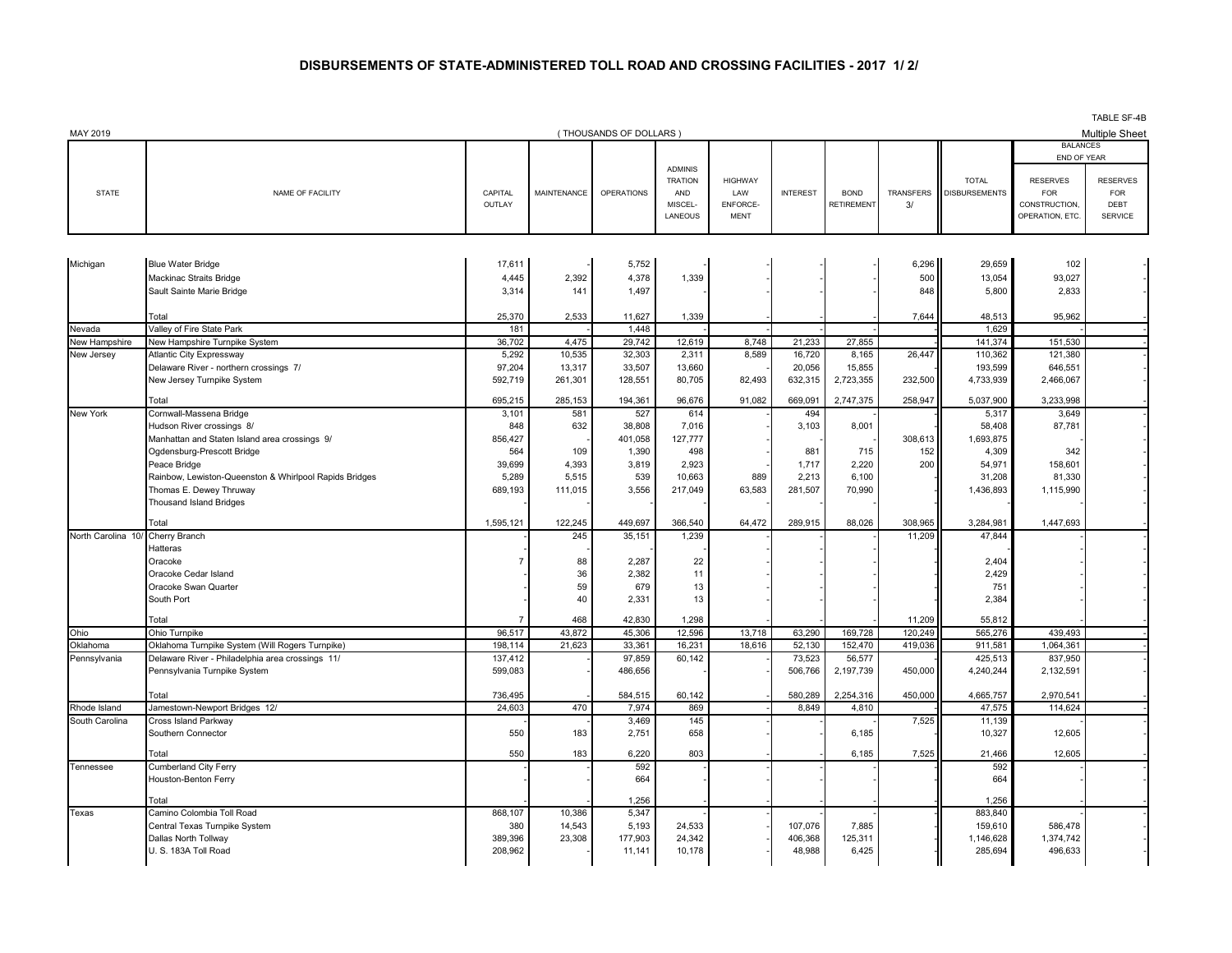## **DISBURSEMENTS OF STATE-ADMINISTERED TOLL ROAD AND CROSSING FACILITIES - 2017 1/ 2/**

| (THOUSANDS OF DOLLARS)<br><b>BALANCES</b><br>END OF YEAR<br><b>ADMINIS</b><br><b>RESERVES</b><br><b>TRATION</b><br><b>HIGHWAY</b><br><b>TOTAL</b><br><b>RESERVES</b><br><b>OPERATIONS</b><br><b>INTEREST</b><br><b>TRANSFERS</b><br><b>DISBURSEMENTS</b><br><b>STATE</b><br>NAME OF FACILITY<br>CAPITAL<br><b>MAINTENANCE</b><br>AND<br>LAW<br><b>BOND</b><br><b>FOR</b><br><b>FOR</b><br>ENFORCE-<br>CONSTRUCTION<br>DEBT<br>OUTLAY<br>MISCEL-<br>RETIREMENT<br>3/<br>LANEOUS<br>OPERATION, ETC.<br><b>SERVICE</b><br><b>MENT</b><br>5,752<br>6,296<br>29,659<br>102<br><b>Blue Water Bridge</b><br>17,611<br>4,445<br>2,392<br>4,378<br>1,339<br>500<br>93,027<br>Mackinac Straits Bridge<br>13,054<br>Sault Sainte Marie Bridge<br>141<br>2,833<br>3,314<br>1,497<br>848<br>5,800<br>2,533<br>1,339<br>95,962<br>25,370<br>11,627<br>7,644<br>48,513<br>Total<br>Valley of Fire State Park<br>181<br>1,448<br>1,629<br>Nevada<br>36,702<br>21,233<br>27,855<br>New Hampshire Turnpike System<br>4,475<br>29,742<br>12,619<br>8,748<br>141,374<br>151,530<br>New Hampshire<br>10,535<br>8,589<br>121,380<br>New Jersey<br><b>Atlantic City Expressway</b><br>5,292<br>32,303<br>2,311<br>16,720<br>8,165<br>26,447<br>110,362<br>13,317<br>33,507<br>15,855<br>646,551<br>Delaware River - northern crossings 7/<br>97,204<br>13,660<br>20,056<br>193,599<br>New Jersey Turnpike System<br>592,719<br>261,301<br>128,551<br>80,705<br>82,493<br>632,315<br>2,723,355<br>232,500<br>4,733,939<br>2,466,067<br>695,215<br>285,153<br>194,361<br>96,676<br>91,082<br>669,091<br>2,747,375<br>258,947<br>5,037,900<br>3,233,998<br>Total<br>3,649<br><b>New York</b><br>Cornwall-Massena Bridge<br>3,101<br>581<br>527<br>614<br>494<br>5,317<br>848<br>632<br>38,808<br>7,016<br>3,103<br>8,001<br>58,408<br>87,781<br>Hudson River crossings 8/<br>856,427<br>127,777<br>308,613<br>1,693,875<br>Manhattan and Staten Island area crossings 9/<br>401,058<br>498<br>Ogdensburg-Prescott Bridge<br>564<br>109<br>1,390<br>715<br>152<br>4,309<br>342<br>881<br>39,699<br>4,393<br>3,819<br>2,923<br>1,717<br>2,220<br>200<br>54,971<br>158,601<br>Peace Bridge<br>889<br>81,330<br>Rainbow, Lewiston-Queenston & Whirlpool Rapids Bridges<br>5,289<br>5,515<br>539<br>10,663<br>2,213<br>6.100<br>31,208<br>3,556<br>63,583<br>281,507<br>70,990<br>1,436,893<br>1,115,990<br>Thomas E. Dewey Thruway<br>689,193<br>111,015<br>217,049<br><b>Thousand Island Bridges</b><br>Total<br>1,595,121<br>122.245<br>449,697<br>366.540<br>64.472<br>289,915<br>88,026<br>308,965<br>3,284,981<br>1,447,693<br>Cherry Branch<br>245<br>35,151<br>1,239<br>11,209<br>47,844<br>North Carolina 10<br>Hatteras<br>88<br>2,287<br>22<br>Oracoke<br>2,404<br>7<br>36<br>2,382<br>11<br>2,429<br>Oracoke Cedar Island<br>59<br>679<br>13<br>Oracoke Swan Quarter<br>751<br>40<br>South Port<br>2,331<br>13<br>2,384<br>468<br>42,830<br>Total<br>1,298<br>55,812<br>$\overline{7}$<br>11,209<br>Ohio Turnpike<br>96,517<br>43,872<br>45,306<br>12,596<br>13,718<br>63,290<br>169,728<br>120,249<br>565,276<br>439,493<br>Ohio<br>Oklahoma Turnpike System (Will Rogers Turnpike)<br>198.114<br>21,623<br>33,361<br>16.231<br>18,616<br>52,130<br>152,470<br>419,036<br>1,064,361<br>Oklahoma<br>911,581<br>Delaware River - Philadelphia area crossings 11/<br>137,412<br>97,859<br>60,142<br>73,523<br>56,577<br>425,513<br>837,950<br>Pennsylvania<br>Pennsylvania Turnpike System<br>599,083<br>486,656<br>506,766<br>2,197,739<br>450,000<br>4,240,244<br>2,132,591<br>450,000<br>Total<br>736,495<br>584,515<br>60,142<br>580,289<br>2,254,316<br>4,665,757<br>2,970,541<br>Jamestown-Newport Bridges 12/<br>24.603<br>470<br>7.974<br>869<br>8.849<br>47.575<br>114.624<br>Rhode Island<br>4.810<br>7,525<br>South Carolina<br>Cross Island Parkway<br>3,469<br>145<br>11,139<br>Southern Connector<br>550<br>183<br>2,751<br>658<br>10,327<br>12,605<br>6.185<br>12,605<br>Total<br>550<br>183<br>6,220<br>803<br>6,185<br>7,525<br>21,466<br>Cumberland City Ferry<br>592<br>592<br>Tennessee<br>664<br>664<br>Houston-Benton Ferry<br>1,256<br>1,256<br>Total<br>868,107<br>10,386<br>5,347<br>883,840<br>Camino Colombia Toll Road<br>Texas<br>Central Texas Turnpike System<br>380<br>14,543<br>5,193<br>24,533<br>107,076<br>7,885<br>159,610<br>586.478<br>23,308<br>24,342<br>Dallas North Tollway<br>389,396<br>177,903<br>406,368<br>125,311<br>1,146,628<br>1,374,742<br>U. S. 183A Toll Road<br>208,962<br>11,141<br>10,178<br>48,988<br>6,425<br>285,694<br>496,633 | MAY 2019 |  |  |  |  |  | TABLE SF-4B<br><b>Multiple Sheet</b> |
|-------------------------------------------------------------------------------------------------------------------------------------------------------------------------------------------------------------------------------------------------------------------------------------------------------------------------------------------------------------------------------------------------------------------------------------------------------------------------------------------------------------------------------------------------------------------------------------------------------------------------------------------------------------------------------------------------------------------------------------------------------------------------------------------------------------------------------------------------------------------------------------------------------------------------------------------------------------------------------------------------------------------------------------------------------------------------------------------------------------------------------------------------------------------------------------------------------------------------------------------------------------------------------------------------------------------------------------------------------------------------------------------------------------------------------------------------------------------------------------------------------------------------------------------------------------------------------------------------------------------------------------------------------------------------------------------------------------------------------------------------------------------------------------------------------------------------------------------------------------------------------------------------------------------------------------------------------------------------------------------------------------------------------------------------------------------------------------------------------------------------------------------------------------------------------------------------------------------------------------------------------------------------------------------------------------------------------------------------------------------------------------------------------------------------------------------------------------------------------------------------------------------------------------------------------------------------------------------------------------------------------------------------------------------------------------------------------------------------------------------------------------------------------------------------------------------------------------------------------------------------------------------------------------------------------------------------------------------------------------------------------------------------------------------------------------------------------------------------------------------------------------------------------------------------------------------------------------------------------------------------------------------------------------------------------------------------------------------------------------------------------------------------------------------------------------------------------------------------------------------------------------------------------------------------------------------------------------------------------------------------------------------------------------------------------------------------------------------------------------------------------------------------------------------------------------------------------------------------------------------------------------------------------------------------------------------------------------------------------------------------------------------------------------------------------------------------------------------------------------------------------------------------------------------------------------------------------------------------------------------------------------------------------------------------------------------------------------------------------------------------------------------------------------------------------------------------------------------------------------------------------------------------------------------------------------------------|----------|--|--|--|--|--|--------------------------------------|
|                                                                                                                                                                                                                                                                                                                                                                                                                                                                                                                                                                                                                                                                                                                                                                                                                                                                                                                                                                                                                                                                                                                                                                                                                                                                                                                                                                                                                                                                                                                                                                                                                                                                                                                                                                                                                                                                                                                                                                                                                                                                                                                                                                                                                                                                                                                                                                                                                                                                                                                                                                                                                                                                                                                                                                                                                                                                                                                                                                                                                                                                                                                                                                                                                                                                                                                                                                                                                                                                                                                                                                                                                                                                                                                                                                                                                                                                                                                                                                                                                                                                                                                                                                                                                                                                                                                                                                                                                                                                                                                                                                         |          |  |  |  |  |  |                                      |
|                                                                                                                                                                                                                                                                                                                                                                                                                                                                                                                                                                                                                                                                                                                                                                                                                                                                                                                                                                                                                                                                                                                                                                                                                                                                                                                                                                                                                                                                                                                                                                                                                                                                                                                                                                                                                                                                                                                                                                                                                                                                                                                                                                                                                                                                                                                                                                                                                                                                                                                                                                                                                                                                                                                                                                                                                                                                                                                                                                                                                                                                                                                                                                                                                                                                                                                                                                                                                                                                                                                                                                                                                                                                                                                                                                                                                                                                                                                                                                                                                                                                                                                                                                                                                                                                                                                                                                                                                                                                                                                                                                         |          |  |  |  |  |  |                                      |
|                                                                                                                                                                                                                                                                                                                                                                                                                                                                                                                                                                                                                                                                                                                                                                                                                                                                                                                                                                                                                                                                                                                                                                                                                                                                                                                                                                                                                                                                                                                                                                                                                                                                                                                                                                                                                                                                                                                                                                                                                                                                                                                                                                                                                                                                                                                                                                                                                                                                                                                                                                                                                                                                                                                                                                                                                                                                                                                                                                                                                                                                                                                                                                                                                                                                                                                                                                                                                                                                                                                                                                                                                                                                                                                                                                                                                                                                                                                                                                                                                                                                                                                                                                                                                                                                                                                                                                                                                                                                                                                                                                         |          |  |  |  |  |  |                                      |
|                                                                                                                                                                                                                                                                                                                                                                                                                                                                                                                                                                                                                                                                                                                                                                                                                                                                                                                                                                                                                                                                                                                                                                                                                                                                                                                                                                                                                                                                                                                                                                                                                                                                                                                                                                                                                                                                                                                                                                                                                                                                                                                                                                                                                                                                                                                                                                                                                                                                                                                                                                                                                                                                                                                                                                                                                                                                                                                                                                                                                                                                                                                                                                                                                                                                                                                                                                                                                                                                                                                                                                                                                                                                                                                                                                                                                                                                                                                                                                                                                                                                                                                                                                                                                                                                                                                                                                                                                                                                                                                                                                         | Michigan |  |  |  |  |  |                                      |
|                                                                                                                                                                                                                                                                                                                                                                                                                                                                                                                                                                                                                                                                                                                                                                                                                                                                                                                                                                                                                                                                                                                                                                                                                                                                                                                                                                                                                                                                                                                                                                                                                                                                                                                                                                                                                                                                                                                                                                                                                                                                                                                                                                                                                                                                                                                                                                                                                                                                                                                                                                                                                                                                                                                                                                                                                                                                                                                                                                                                                                                                                                                                                                                                                                                                                                                                                                                                                                                                                                                                                                                                                                                                                                                                                                                                                                                                                                                                                                                                                                                                                                                                                                                                                                                                                                                                                                                                                                                                                                                                                                         |          |  |  |  |  |  |                                      |
|                                                                                                                                                                                                                                                                                                                                                                                                                                                                                                                                                                                                                                                                                                                                                                                                                                                                                                                                                                                                                                                                                                                                                                                                                                                                                                                                                                                                                                                                                                                                                                                                                                                                                                                                                                                                                                                                                                                                                                                                                                                                                                                                                                                                                                                                                                                                                                                                                                                                                                                                                                                                                                                                                                                                                                                                                                                                                                                                                                                                                                                                                                                                                                                                                                                                                                                                                                                                                                                                                                                                                                                                                                                                                                                                                                                                                                                                                                                                                                                                                                                                                                                                                                                                                                                                                                                                                                                                                                                                                                                                                                         |          |  |  |  |  |  |                                      |
|                                                                                                                                                                                                                                                                                                                                                                                                                                                                                                                                                                                                                                                                                                                                                                                                                                                                                                                                                                                                                                                                                                                                                                                                                                                                                                                                                                                                                                                                                                                                                                                                                                                                                                                                                                                                                                                                                                                                                                                                                                                                                                                                                                                                                                                                                                                                                                                                                                                                                                                                                                                                                                                                                                                                                                                                                                                                                                                                                                                                                                                                                                                                                                                                                                                                                                                                                                                                                                                                                                                                                                                                                                                                                                                                                                                                                                                                                                                                                                                                                                                                                                                                                                                                                                                                                                                                                                                                                                                                                                                                                                         |          |  |  |  |  |  |                                      |
|                                                                                                                                                                                                                                                                                                                                                                                                                                                                                                                                                                                                                                                                                                                                                                                                                                                                                                                                                                                                                                                                                                                                                                                                                                                                                                                                                                                                                                                                                                                                                                                                                                                                                                                                                                                                                                                                                                                                                                                                                                                                                                                                                                                                                                                                                                                                                                                                                                                                                                                                                                                                                                                                                                                                                                                                                                                                                                                                                                                                                                                                                                                                                                                                                                                                                                                                                                                                                                                                                                                                                                                                                                                                                                                                                                                                                                                                                                                                                                                                                                                                                                                                                                                                                                                                                                                                                                                                                                                                                                                                                                         |          |  |  |  |  |  |                                      |
|                                                                                                                                                                                                                                                                                                                                                                                                                                                                                                                                                                                                                                                                                                                                                                                                                                                                                                                                                                                                                                                                                                                                                                                                                                                                                                                                                                                                                                                                                                                                                                                                                                                                                                                                                                                                                                                                                                                                                                                                                                                                                                                                                                                                                                                                                                                                                                                                                                                                                                                                                                                                                                                                                                                                                                                                                                                                                                                                                                                                                                                                                                                                                                                                                                                                                                                                                                                                                                                                                                                                                                                                                                                                                                                                                                                                                                                                                                                                                                                                                                                                                                                                                                                                                                                                                                                                                                                                                                                                                                                                                                         |          |  |  |  |  |  |                                      |
|                                                                                                                                                                                                                                                                                                                                                                                                                                                                                                                                                                                                                                                                                                                                                                                                                                                                                                                                                                                                                                                                                                                                                                                                                                                                                                                                                                                                                                                                                                                                                                                                                                                                                                                                                                                                                                                                                                                                                                                                                                                                                                                                                                                                                                                                                                                                                                                                                                                                                                                                                                                                                                                                                                                                                                                                                                                                                                                                                                                                                                                                                                                                                                                                                                                                                                                                                                                                                                                                                                                                                                                                                                                                                                                                                                                                                                                                                                                                                                                                                                                                                                                                                                                                                                                                                                                                                                                                                                                                                                                                                                         |          |  |  |  |  |  |                                      |
|                                                                                                                                                                                                                                                                                                                                                                                                                                                                                                                                                                                                                                                                                                                                                                                                                                                                                                                                                                                                                                                                                                                                                                                                                                                                                                                                                                                                                                                                                                                                                                                                                                                                                                                                                                                                                                                                                                                                                                                                                                                                                                                                                                                                                                                                                                                                                                                                                                                                                                                                                                                                                                                                                                                                                                                                                                                                                                                                                                                                                                                                                                                                                                                                                                                                                                                                                                                                                                                                                                                                                                                                                                                                                                                                                                                                                                                                                                                                                                                                                                                                                                                                                                                                                                                                                                                                                                                                                                                                                                                                                                         |          |  |  |  |  |  |                                      |
|                                                                                                                                                                                                                                                                                                                                                                                                                                                                                                                                                                                                                                                                                                                                                                                                                                                                                                                                                                                                                                                                                                                                                                                                                                                                                                                                                                                                                                                                                                                                                                                                                                                                                                                                                                                                                                                                                                                                                                                                                                                                                                                                                                                                                                                                                                                                                                                                                                                                                                                                                                                                                                                                                                                                                                                                                                                                                                                                                                                                                                                                                                                                                                                                                                                                                                                                                                                                                                                                                                                                                                                                                                                                                                                                                                                                                                                                                                                                                                                                                                                                                                                                                                                                                                                                                                                                                                                                                                                                                                                                                                         |          |  |  |  |  |  |                                      |
|                                                                                                                                                                                                                                                                                                                                                                                                                                                                                                                                                                                                                                                                                                                                                                                                                                                                                                                                                                                                                                                                                                                                                                                                                                                                                                                                                                                                                                                                                                                                                                                                                                                                                                                                                                                                                                                                                                                                                                                                                                                                                                                                                                                                                                                                                                                                                                                                                                                                                                                                                                                                                                                                                                                                                                                                                                                                                                                                                                                                                                                                                                                                                                                                                                                                                                                                                                                                                                                                                                                                                                                                                                                                                                                                                                                                                                                                                                                                                                                                                                                                                                                                                                                                                                                                                                                                                                                                                                                                                                                                                                         |          |  |  |  |  |  |                                      |
|                                                                                                                                                                                                                                                                                                                                                                                                                                                                                                                                                                                                                                                                                                                                                                                                                                                                                                                                                                                                                                                                                                                                                                                                                                                                                                                                                                                                                                                                                                                                                                                                                                                                                                                                                                                                                                                                                                                                                                                                                                                                                                                                                                                                                                                                                                                                                                                                                                                                                                                                                                                                                                                                                                                                                                                                                                                                                                                                                                                                                                                                                                                                                                                                                                                                                                                                                                                                                                                                                                                                                                                                                                                                                                                                                                                                                                                                                                                                                                                                                                                                                                                                                                                                                                                                                                                                                                                                                                                                                                                                                                         |          |  |  |  |  |  |                                      |
|                                                                                                                                                                                                                                                                                                                                                                                                                                                                                                                                                                                                                                                                                                                                                                                                                                                                                                                                                                                                                                                                                                                                                                                                                                                                                                                                                                                                                                                                                                                                                                                                                                                                                                                                                                                                                                                                                                                                                                                                                                                                                                                                                                                                                                                                                                                                                                                                                                                                                                                                                                                                                                                                                                                                                                                                                                                                                                                                                                                                                                                                                                                                                                                                                                                                                                                                                                                                                                                                                                                                                                                                                                                                                                                                                                                                                                                                                                                                                                                                                                                                                                                                                                                                                                                                                                                                                                                                                                                                                                                                                                         |          |  |  |  |  |  |                                      |
|                                                                                                                                                                                                                                                                                                                                                                                                                                                                                                                                                                                                                                                                                                                                                                                                                                                                                                                                                                                                                                                                                                                                                                                                                                                                                                                                                                                                                                                                                                                                                                                                                                                                                                                                                                                                                                                                                                                                                                                                                                                                                                                                                                                                                                                                                                                                                                                                                                                                                                                                                                                                                                                                                                                                                                                                                                                                                                                                                                                                                                                                                                                                                                                                                                                                                                                                                                                                                                                                                                                                                                                                                                                                                                                                                                                                                                                                                                                                                                                                                                                                                                                                                                                                                                                                                                                                                                                                                                                                                                                                                                         |          |  |  |  |  |  |                                      |
|                                                                                                                                                                                                                                                                                                                                                                                                                                                                                                                                                                                                                                                                                                                                                                                                                                                                                                                                                                                                                                                                                                                                                                                                                                                                                                                                                                                                                                                                                                                                                                                                                                                                                                                                                                                                                                                                                                                                                                                                                                                                                                                                                                                                                                                                                                                                                                                                                                                                                                                                                                                                                                                                                                                                                                                                                                                                                                                                                                                                                                                                                                                                                                                                                                                                                                                                                                                                                                                                                                                                                                                                                                                                                                                                                                                                                                                                                                                                                                                                                                                                                                                                                                                                                                                                                                                                                                                                                                                                                                                                                                         |          |  |  |  |  |  |                                      |
|                                                                                                                                                                                                                                                                                                                                                                                                                                                                                                                                                                                                                                                                                                                                                                                                                                                                                                                                                                                                                                                                                                                                                                                                                                                                                                                                                                                                                                                                                                                                                                                                                                                                                                                                                                                                                                                                                                                                                                                                                                                                                                                                                                                                                                                                                                                                                                                                                                                                                                                                                                                                                                                                                                                                                                                                                                                                                                                                                                                                                                                                                                                                                                                                                                                                                                                                                                                                                                                                                                                                                                                                                                                                                                                                                                                                                                                                                                                                                                                                                                                                                                                                                                                                                                                                                                                                                                                                                                                                                                                                                                         |          |  |  |  |  |  |                                      |
|                                                                                                                                                                                                                                                                                                                                                                                                                                                                                                                                                                                                                                                                                                                                                                                                                                                                                                                                                                                                                                                                                                                                                                                                                                                                                                                                                                                                                                                                                                                                                                                                                                                                                                                                                                                                                                                                                                                                                                                                                                                                                                                                                                                                                                                                                                                                                                                                                                                                                                                                                                                                                                                                                                                                                                                                                                                                                                                                                                                                                                                                                                                                                                                                                                                                                                                                                                                                                                                                                                                                                                                                                                                                                                                                                                                                                                                                                                                                                                                                                                                                                                                                                                                                                                                                                                                                                                                                                                                                                                                                                                         |          |  |  |  |  |  |                                      |
|                                                                                                                                                                                                                                                                                                                                                                                                                                                                                                                                                                                                                                                                                                                                                                                                                                                                                                                                                                                                                                                                                                                                                                                                                                                                                                                                                                                                                                                                                                                                                                                                                                                                                                                                                                                                                                                                                                                                                                                                                                                                                                                                                                                                                                                                                                                                                                                                                                                                                                                                                                                                                                                                                                                                                                                                                                                                                                                                                                                                                                                                                                                                                                                                                                                                                                                                                                                                                                                                                                                                                                                                                                                                                                                                                                                                                                                                                                                                                                                                                                                                                                                                                                                                                                                                                                                                                                                                                                                                                                                                                                         |          |  |  |  |  |  |                                      |
|                                                                                                                                                                                                                                                                                                                                                                                                                                                                                                                                                                                                                                                                                                                                                                                                                                                                                                                                                                                                                                                                                                                                                                                                                                                                                                                                                                                                                                                                                                                                                                                                                                                                                                                                                                                                                                                                                                                                                                                                                                                                                                                                                                                                                                                                                                                                                                                                                                                                                                                                                                                                                                                                                                                                                                                                                                                                                                                                                                                                                                                                                                                                                                                                                                                                                                                                                                                                                                                                                                                                                                                                                                                                                                                                                                                                                                                                                                                                                                                                                                                                                                                                                                                                                                                                                                                                                                                                                                                                                                                                                                         |          |  |  |  |  |  |                                      |
|                                                                                                                                                                                                                                                                                                                                                                                                                                                                                                                                                                                                                                                                                                                                                                                                                                                                                                                                                                                                                                                                                                                                                                                                                                                                                                                                                                                                                                                                                                                                                                                                                                                                                                                                                                                                                                                                                                                                                                                                                                                                                                                                                                                                                                                                                                                                                                                                                                                                                                                                                                                                                                                                                                                                                                                                                                                                                                                                                                                                                                                                                                                                                                                                                                                                                                                                                                                                                                                                                                                                                                                                                                                                                                                                                                                                                                                                                                                                                                                                                                                                                                                                                                                                                                                                                                                                                                                                                                                                                                                                                                         |          |  |  |  |  |  |                                      |
|                                                                                                                                                                                                                                                                                                                                                                                                                                                                                                                                                                                                                                                                                                                                                                                                                                                                                                                                                                                                                                                                                                                                                                                                                                                                                                                                                                                                                                                                                                                                                                                                                                                                                                                                                                                                                                                                                                                                                                                                                                                                                                                                                                                                                                                                                                                                                                                                                                                                                                                                                                                                                                                                                                                                                                                                                                                                                                                                                                                                                                                                                                                                                                                                                                                                                                                                                                                                                                                                                                                                                                                                                                                                                                                                                                                                                                                                                                                                                                                                                                                                                                                                                                                                                                                                                                                                                                                                                                                                                                                                                                         |          |  |  |  |  |  |                                      |
|                                                                                                                                                                                                                                                                                                                                                                                                                                                                                                                                                                                                                                                                                                                                                                                                                                                                                                                                                                                                                                                                                                                                                                                                                                                                                                                                                                                                                                                                                                                                                                                                                                                                                                                                                                                                                                                                                                                                                                                                                                                                                                                                                                                                                                                                                                                                                                                                                                                                                                                                                                                                                                                                                                                                                                                                                                                                                                                                                                                                                                                                                                                                                                                                                                                                                                                                                                                                                                                                                                                                                                                                                                                                                                                                                                                                                                                                                                                                                                                                                                                                                                                                                                                                                                                                                                                                                                                                                                                                                                                                                                         |          |  |  |  |  |  |                                      |
|                                                                                                                                                                                                                                                                                                                                                                                                                                                                                                                                                                                                                                                                                                                                                                                                                                                                                                                                                                                                                                                                                                                                                                                                                                                                                                                                                                                                                                                                                                                                                                                                                                                                                                                                                                                                                                                                                                                                                                                                                                                                                                                                                                                                                                                                                                                                                                                                                                                                                                                                                                                                                                                                                                                                                                                                                                                                                                                                                                                                                                                                                                                                                                                                                                                                                                                                                                                                                                                                                                                                                                                                                                                                                                                                                                                                                                                                                                                                                                                                                                                                                                                                                                                                                                                                                                                                                                                                                                                                                                                                                                         |          |  |  |  |  |  |                                      |
|                                                                                                                                                                                                                                                                                                                                                                                                                                                                                                                                                                                                                                                                                                                                                                                                                                                                                                                                                                                                                                                                                                                                                                                                                                                                                                                                                                                                                                                                                                                                                                                                                                                                                                                                                                                                                                                                                                                                                                                                                                                                                                                                                                                                                                                                                                                                                                                                                                                                                                                                                                                                                                                                                                                                                                                                                                                                                                                                                                                                                                                                                                                                                                                                                                                                                                                                                                                                                                                                                                                                                                                                                                                                                                                                                                                                                                                                                                                                                                                                                                                                                                                                                                                                                                                                                                                                                                                                                                                                                                                                                                         |          |  |  |  |  |  |                                      |
|                                                                                                                                                                                                                                                                                                                                                                                                                                                                                                                                                                                                                                                                                                                                                                                                                                                                                                                                                                                                                                                                                                                                                                                                                                                                                                                                                                                                                                                                                                                                                                                                                                                                                                                                                                                                                                                                                                                                                                                                                                                                                                                                                                                                                                                                                                                                                                                                                                                                                                                                                                                                                                                                                                                                                                                                                                                                                                                                                                                                                                                                                                                                                                                                                                                                                                                                                                                                                                                                                                                                                                                                                                                                                                                                                                                                                                                                                                                                                                                                                                                                                                                                                                                                                                                                                                                                                                                                                                                                                                                                                                         |          |  |  |  |  |  |                                      |
|                                                                                                                                                                                                                                                                                                                                                                                                                                                                                                                                                                                                                                                                                                                                                                                                                                                                                                                                                                                                                                                                                                                                                                                                                                                                                                                                                                                                                                                                                                                                                                                                                                                                                                                                                                                                                                                                                                                                                                                                                                                                                                                                                                                                                                                                                                                                                                                                                                                                                                                                                                                                                                                                                                                                                                                                                                                                                                                                                                                                                                                                                                                                                                                                                                                                                                                                                                                                                                                                                                                                                                                                                                                                                                                                                                                                                                                                                                                                                                                                                                                                                                                                                                                                                                                                                                                                                                                                                                                                                                                                                                         |          |  |  |  |  |  |                                      |
|                                                                                                                                                                                                                                                                                                                                                                                                                                                                                                                                                                                                                                                                                                                                                                                                                                                                                                                                                                                                                                                                                                                                                                                                                                                                                                                                                                                                                                                                                                                                                                                                                                                                                                                                                                                                                                                                                                                                                                                                                                                                                                                                                                                                                                                                                                                                                                                                                                                                                                                                                                                                                                                                                                                                                                                                                                                                                                                                                                                                                                                                                                                                                                                                                                                                                                                                                                                                                                                                                                                                                                                                                                                                                                                                                                                                                                                                                                                                                                                                                                                                                                                                                                                                                                                                                                                                                                                                                                                                                                                                                                         |          |  |  |  |  |  |                                      |
|                                                                                                                                                                                                                                                                                                                                                                                                                                                                                                                                                                                                                                                                                                                                                                                                                                                                                                                                                                                                                                                                                                                                                                                                                                                                                                                                                                                                                                                                                                                                                                                                                                                                                                                                                                                                                                                                                                                                                                                                                                                                                                                                                                                                                                                                                                                                                                                                                                                                                                                                                                                                                                                                                                                                                                                                                                                                                                                                                                                                                                                                                                                                                                                                                                                                                                                                                                                                                                                                                                                                                                                                                                                                                                                                                                                                                                                                                                                                                                                                                                                                                                                                                                                                                                                                                                                                                                                                                                                                                                                                                                         |          |  |  |  |  |  |                                      |
|                                                                                                                                                                                                                                                                                                                                                                                                                                                                                                                                                                                                                                                                                                                                                                                                                                                                                                                                                                                                                                                                                                                                                                                                                                                                                                                                                                                                                                                                                                                                                                                                                                                                                                                                                                                                                                                                                                                                                                                                                                                                                                                                                                                                                                                                                                                                                                                                                                                                                                                                                                                                                                                                                                                                                                                                                                                                                                                                                                                                                                                                                                                                                                                                                                                                                                                                                                                                                                                                                                                                                                                                                                                                                                                                                                                                                                                                                                                                                                                                                                                                                                                                                                                                                                                                                                                                                                                                                                                                                                                                                                         |          |  |  |  |  |  |                                      |
|                                                                                                                                                                                                                                                                                                                                                                                                                                                                                                                                                                                                                                                                                                                                                                                                                                                                                                                                                                                                                                                                                                                                                                                                                                                                                                                                                                                                                                                                                                                                                                                                                                                                                                                                                                                                                                                                                                                                                                                                                                                                                                                                                                                                                                                                                                                                                                                                                                                                                                                                                                                                                                                                                                                                                                                                                                                                                                                                                                                                                                                                                                                                                                                                                                                                                                                                                                                                                                                                                                                                                                                                                                                                                                                                                                                                                                                                                                                                                                                                                                                                                                                                                                                                                                                                                                                                                                                                                                                                                                                                                                         |          |  |  |  |  |  |                                      |
|                                                                                                                                                                                                                                                                                                                                                                                                                                                                                                                                                                                                                                                                                                                                                                                                                                                                                                                                                                                                                                                                                                                                                                                                                                                                                                                                                                                                                                                                                                                                                                                                                                                                                                                                                                                                                                                                                                                                                                                                                                                                                                                                                                                                                                                                                                                                                                                                                                                                                                                                                                                                                                                                                                                                                                                                                                                                                                                                                                                                                                                                                                                                                                                                                                                                                                                                                                                                                                                                                                                                                                                                                                                                                                                                                                                                                                                                                                                                                                                                                                                                                                                                                                                                                                                                                                                                                                                                                                                                                                                                                                         |          |  |  |  |  |  |                                      |
|                                                                                                                                                                                                                                                                                                                                                                                                                                                                                                                                                                                                                                                                                                                                                                                                                                                                                                                                                                                                                                                                                                                                                                                                                                                                                                                                                                                                                                                                                                                                                                                                                                                                                                                                                                                                                                                                                                                                                                                                                                                                                                                                                                                                                                                                                                                                                                                                                                                                                                                                                                                                                                                                                                                                                                                                                                                                                                                                                                                                                                                                                                                                                                                                                                                                                                                                                                                                                                                                                                                                                                                                                                                                                                                                                                                                                                                                                                                                                                                                                                                                                                                                                                                                                                                                                                                                                                                                                                                                                                                                                                         |          |  |  |  |  |  |                                      |
|                                                                                                                                                                                                                                                                                                                                                                                                                                                                                                                                                                                                                                                                                                                                                                                                                                                                                                                                                                                                                                                                                                                                                                                                                                                                                                                                                                                                                                                                                                                                                                                                                                                                                                                                                                                                                                                                                                                                                                                                                                                                                                                                                                                                                                                                                                                                                                                                                                                                                                                                                                                                                                                                                                                                                                                                                                                                                                                                                                                                                                                                                                                                                                                                                                                                                                                                                                                                                                                                                                                                                                                                                                                                                                                                                                                                                                                                                                                                                                                                                                                                                                                                                                                                                                                                                                                                                                                                                                                                                                                                                                         |          |  |  |  |  |  |                                      |
|                                                                                                                                                                                                                                                                                                                                                                                                                                                                                                                                                                                                                                                                                                                                                                                                                                                                                                                                                                                                                                                                                                                                                                                                                                                                                                                                                                                                                                                                                                                                                                                                                                                                                                                                                                                                                                                                                                                                                                                                                                                                                                                                                                                                                                                                                                                                                                                                                                                                                                                                                                                                                                                                                                                                                                                                                                                                                                                                                                                                                                                                                                                                                                                                                                                                                                                                                                                                                                                                                                                                                                                                                                                                                                                                                                                                                                                                                                                                                                                                                                                                                                                                                                                                                                                                                                                                                                                                                                                                                                                                                                         |          |  |  |  |  |  |                                      |
|                                                                                                                                                                                                                                                                                                                                                                                                                                                                                                                                                                                                                                                                                                                                                                                                                                                                                                                                                                                                                                                                                                                                                                                                                                                                                                                                                                                                                                                                                                                                                                                                                                                                                                                                                                                                                                                                                                                                                                                                                                                                                                                                                                                                                                                                                                                                                                                                                                                                                                                                                                                                                                                                                                                                                                                                                                                                                                                                                                                                                                                                                                                                                                                                                                                                                                                                                                                                                                                                                                                                                                                                                                                                                                                                                                                                                                                                                                                                                                                                                                                                                                                                                                                                                                                                                                                                                                                                                                                                                                                                                                         |          |  |  |  |  |  |                                      |
|                                                                                                                                                                                                                                                                                                                                                                                                                                                                                                                                                                                                                                                                                                                                                                                                                                                                                                                                                                                                                                                                                                                                                                                                                                                                                                                                                                                                                                                                                                                                                                                                                                                                                                                                                                                                                                                                                                                                                                                                                                                                                                                                                                                                                                                                                                                                                                                                                                                                                                                                                                                                                                                                                                                                                                                                                                                                                                                                                                                                                                                                                                                                                                                                                                                                                                                                                                                                                                                                                                                                                                                                                                                                                                                                                                                                                                                                                                                                                                                                                                                                                                                                                                                                                                                                                                                                                                                                                                                                                                                                                                         |          |  |  |  |  |  |                                      |
|                                                                                                                                                                                                                                                                                                                                                                                                                                                                                                                                                                                                                                                                                                                                                                                                                                                                                                                                                                                                                                                                                                                                                                                                                                                                                                                                                                                                                                                                                                                                                                                                                                                                                                                                                                                                                                                                                                                                                                                                                                                                                                                                                                                                                                                                                                                                                                                                                                                                                                                                                                                                                                                                                                                                                                                                                                                                                                                                                                                                                                                                                                                                                                                                                                                                                                                                                                                                                                                                                                                                                                                                                                                                                                                                                                                                                                                                                                                                                                                                                                                                                                                                                                                                                                                                                                                                                                                                                                                                                                                                                                         |          |  |  |  |  |  |                                      |
|                                                                                                                                                                                                                                                                                                                                                                                                                                                                                                                                                                                                                                                                                                                                                                                                                                                                                                                                                                                                                                                                                                                                                                                                                                                                                                                                                                                                                                                                                                                                                                                                                                                                                                                                                                                                                                                                                                                                                                                                                                                                                                                                                                                                                                                                                                                                                                                                                                                                                                                                                                                                                                                                                                                                                                                                                                                                                                                                                                                                                                                                                                                                                                                                                                                                                                                                                                                                                                                                                                                                                                                                                                                                                                                                                                                                                                                                                                                                                                                                                                                                                                                                                                                                                                                                                                                                                                                                                                                                                                                                                                         |          |  |  |  |  |  |                                      |
|                                                                                                                                                                                                                                                                                                                                                                                                                                                                                                                                                                                                                                                                                                                                                                                                                                                                                                                                                                                                                                                                                                                                                                                                                                                                                                                                                                                                                                                                                                                                                                                                                                                                                                                                                                                                                                                                                                                                                                                                                                                                                                                                                                                                                                                                                                                                                                                                                                                                                                                                                                                                                                                                                                                                                                                                                                                                                                                                                                                                                                                                                                                                                                                                                                                                                                                                                                                                                                                                                                                                                                                                                                                                                                                                                                                                                                                                                                                                                                                                                                                                                                                                                                                                                                                                                                                                                                                                                                                                                                                                                                         |          |  |  |  |  |  |                                      |
|                                                                                                                                                                                                                                                                                                                                                                                                                                                                                                                                                                                                                                                                                                                                                                                                                                                                                                                                                                                                                                                                                                                                                                                                                                                                                                                                                                                                                                                                                                                                                                                                                                                                                                                                                                                                                                                                                                                                                                                                                                                                                                                                                                                                                                                                                                                                                                                                                                                                                                                                                                                                                                                                                                                                                                                                                                                                                                                                                                                                                                                                                                                                                                                                                                                                                                                                                                                                                                                                                                                                                                                                                                                                                                                                                                                                                                                                                                                                                                                                                                                                                                                                                                                                                                                                                                                                                                                                                                                                                                                                                                         |          |  |  |  |  |  |                                      |
|                                                                                                                                                                                                                                                                                                                                                                                                                                                                                                                                                                                                                                                                                                                                                                                                                                                                                                                                                                                                                                                                                                                                                                                                                                                                                                                                                                                                                                                                                                                                                                                                                                                                                                                                                                                                                                                                                                                                                                                                                                                                                                                                                                                                                                                                                                                                                                                                                                                                                                                                                                                                                                                                                                                                                                                                                                                                                                                                                                                                                                                                                                                                                                                                                                                                                                                                                                                                                                                                                                                                                                                                                                                                                                                                                                                                                                                                                                                                                                                                                                                                                                                                                                                                                                                                                                                                                                                                                                                                                                                                                                         |          |  |  |  |  |  |                                      |
|                                                                                                                                                                                                                                                                                                                                                                                                                                                                                                                                                                                                                                                                                                                                                                                                                                                                                                                                                                                                                                                                                                                                                                                                                                                                                                                                                                                                                                                                                                                                                                                                                                                                                                                                                                                                                                                                                                                                                                                                                                                                                                                                                                                                                                                                                                                                                                                                                                                                                                                                                                                                                                                                                                                                                                                                                                                                                                                                                                                                                                                                                                                                                                                                                                                                                                                                                                                                                                                                                                                                                                                                                                                                                                                                                                                                                                                                                                                                                                                                                                                                                                                                                                                                                                                                                                                                                                                                                                                                                                                                                                         |          |  |  |  |  |  |                                      |
|                                                                                                                                                                                                                                                                                                                                                                                                                                                                                                                                                                                                                                                                                                                                                                                                                                                                                                                                                                                                                                                                                                                                                                                                                                                                                                                                                                                                                                                                                                                                                                                                                                                                                                                                                                                                                                                                                                                                                                                                                                                                                                                                                                                                                                                                                                                                                                                                                                                                                                                                                                                                                                                                                                                                                                                                                                                                                                                                                                                                                                                                                                                                                                                                                                                                                                                                                                                                                                                                                                                                                                                                                                                                                                                                                                                                                                                                                                                                                                                                                                                                                                                                                                                                                                                                                                                                                                                                                                                                                                                                                                         |          |  |  |  |  |  |                                      |
|                                                                                                                                                                                                                                                                                                                                                                                                                                                                                                                                                                                                                                                                                                                                                                                                                                                                                                                                                                                                                                                                                                                                                                                                                                                                                                                                                                                                                                                                                                                                                                                                                                                                                                                                                                                                                                                                                                                                                                                                                                                                                                                                                                                                                                                                                                                                                                                                                                                                                                                                                                                                                                                                                                                                                                                                                                                                                                                                                                                                                                                                                                                                                                                                                                                                                                                                                                                                                                                                                                                                                                                                                                                                                                                                                                                                                                                                                                                                                                                                                                                                                                                                                                                                                                                                                                                                                                                                                                                                                                                                                                         |          |  |  |  |  |  |                                      |